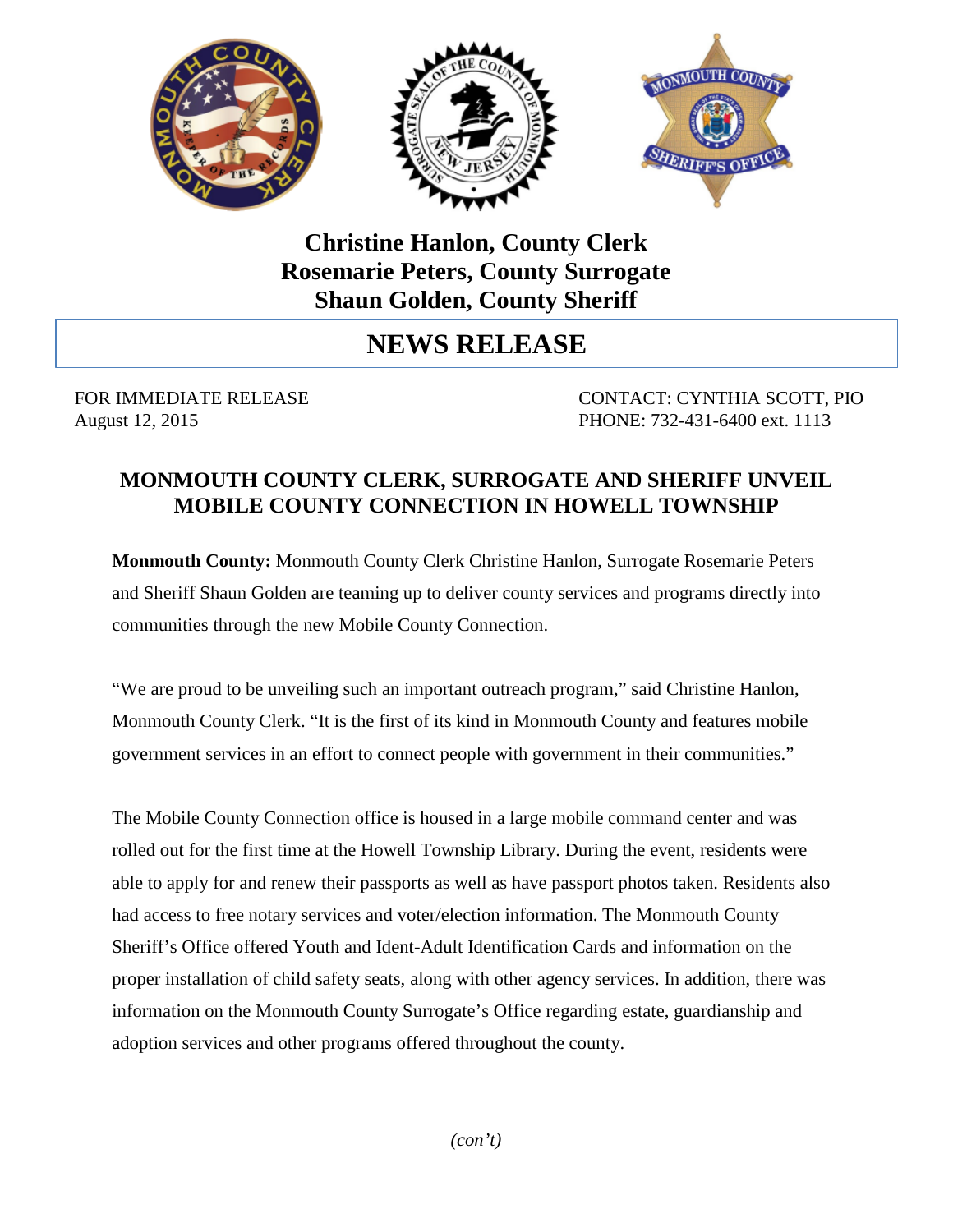

## **Christine Hanlon, County Clerk Rosemarie Peters, County Surrogate Shaun Golden, County Sheriff**

# **NEWS RELEASE**

FOR IMMEDIATE RELEASE CONTACT: CYNTHIA SCOTT, PIO August 12, 2015 **PHONE:** 732-431-6400 ext. 1113

## **MONMOUTH COUNTY CLERK, SURROGATE AND SHERIFF UNVEIL MOBILE COUNTY CONNECTION IN HOWELL TOWNSHIP**

**Monmouth County:** Monmouth County Clerk Christine Hanlon, Surrogate Rosemarie Peters and Sheriff Shaun Golden are teaming up to deliver county services and programs directly into communities through the new Mobile County Connection.

"We are proud to be unveiling such an important outreach program," said Christine Hanlon, Monmouth County Clerk. "It is the first of its kind in Monmouth County and features mobile government services in an effort to connect people with government in their communities."

The Mobile County Connection office is housed in a large mobile command center and was rolled out for the first time at the Howell Township Library. During the event, residents were able to apply for and renew their passports as well as have passport photos taken. Residents also had access to free notary services and voter/election information. The Monmouth County Sheriff's Office offered Youth and Ident-Adult Identification Cards and information on the proper installation of child safety seats, along with other agency services. In addition, there was information on the Monmouth County Surrogate's Office regarding estate, guardianship and adoption services and other programs offered throughout the county.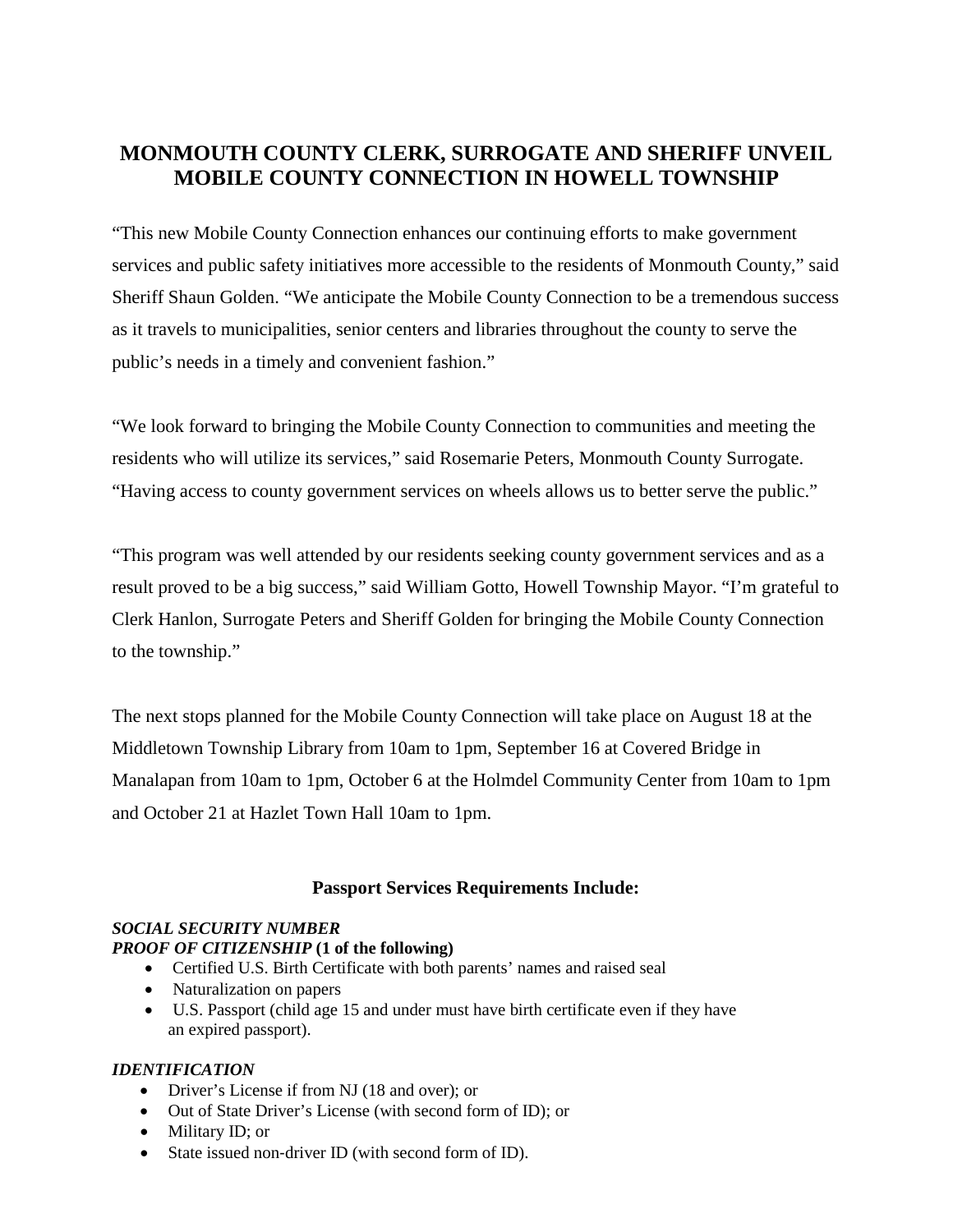## **MONMOUTH COUNTY CLERK, SURROGATE AND SHERIFF UNVEIL MOBILE COUNTY CONNECTION IN HOWELL TOWNSHIP**

"This new Mobile County Connection enhances our continuing efforts to make government services and public safety initiatives more accessible to the residents of Monmouth County," said Sheriff Shaun Golden. "We anticipate the Mobile County Connection to be a tremendous success as it travels to municipalities, senior centers and libraries throughout the county to serve the public's needs in a timely and convenient fashion."

"We look forward to bringing the Mobile County Connection to communities and meeting the residents who will utilize its services," said Rosemarie Peters, Monmouth County Surrogate. "Having access to county government services on wheels allows us to better serve the public."

"This program was well attended by our residents seeking county government services and as a result proved to be a big success," said William Gotto, Howell Township Mayor. "I'm grateful to Clerk Hanlon, Surrogate Peters and Sheriff Golden for bringing the Mobile County Connection to the township."

The next stops planned for the Mobile County Connection will take place on August 18 at the Middletown Township Library from 10am to 1pm, September 16 at Covered Bridge in Manalapan from 10am to 1pm, October 6 at the Holmdel Community Center from 10am to 1pm and October 21 at Hazlet Town Hall 10am to 1pm.

#### **Passport Services Requirements Include:**

#### *SOCIAL SECURITY NUMBER*

#### *PROOF OF CITIZENSHIP* **(1 of the following)**

- Certified U.S. Birth Certificate with both parents' names and raised seal
- Naturalization on papers
- U.S. Passport (child age 15 and under must have birth certificate even if they have an expired passport).

#### *IDENTIFICATION*

- Driver's License if from NJ (18 and over); or
- Out of State Driver's License (with second form of ID); or
- Military ID: or
- State issued non-driver ID (with second form of ID).